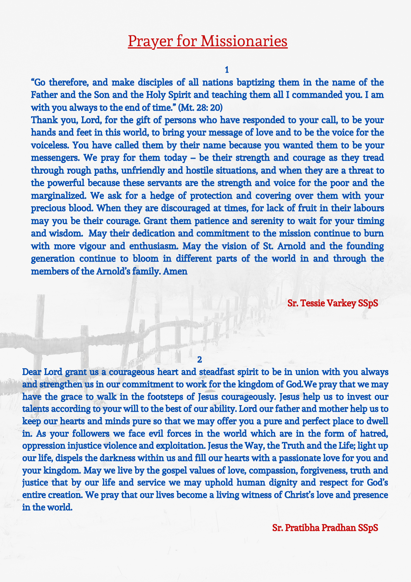## Prayer for Missionaries

1

"Go therefore, and make disciples of all nations baptizing them in the name of the Father and the Son and the Holy Spirit and teaching them all I commanded you. I am with you always to the end of time." (Mt. 28: 20)

Thank you, Lord, for the gift of persons who have responded to your call, to be your hands and feet in this world, to bring your message of love and to be the voice for the voiceless. You have called them by their name because you wanted them to be your messengers. We pray for them today – be their strength and courage as they tread through rough paths, unfriendly and hostile situations, and when they are a threat to the powerful because these servants are the strength and voice for the poor and the marginalized. We ask for a hedge of protection and covering over them with your precious blood. When they are discouraged at times, for lack of fruit in their labours may you be their courage. Grant them patience and serenity to wait for your timing and wisdom. May their dedication and commitment to the mission continue to burn with more vigour and enthusiasm. May the vision of St. Arnold and the founding generation continue to bloom in different parts of the world in and through the members of the Arnold's family. Amen

Sr. Tessie Varkey SSpS

## 2

Dear Lord grant us a courageous heart and steadfast spirit to be in union with you always and strengthen us in our commitment to work for the kingdom of God.We pray that we may have the grace to walk in the footsteps of Jesus courageously. Jesus help us to invest our talents according to your will to the best of our ability. Lord our father and mother help us to keep our hearts and minds pure so that we may offer you a pure and perfect place to dwell in. As your followers we face evil forces in the world which are in the form of hatred, oppression injustice violence and exploitation. Jesus the Way, the Truth and the Life; light up our life, dispels the darkness within us and fill our hearts with a passionate love for you and your kingdom. May we live by the gospel values of love, compassion, forgiveness, truth and justice that by our life and service we may uphold human dignity and respect for God's entire creation. We pray that our lives become a living witness of Christ's love and presence in the world.

Sr. Pratibha Pradhan SSpS